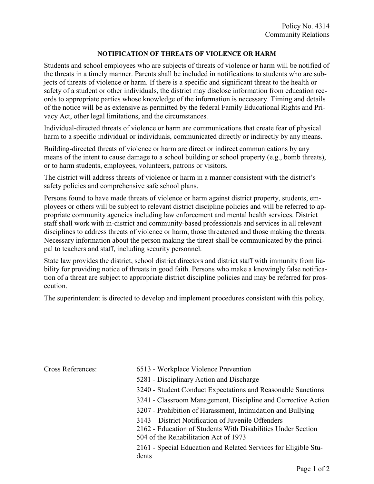## NOTIFICATION OF THREATS OF VIOLENCE OR HARM

Students and school employees who are subjects of threats of violence or harm will be notified of the threats in a timely manner. Parents shall be included in notifications to students who are subjects of threats of violence or harm. If there is a specific and significant threat to the health or safety of a student or other individuals, the district may disclose information from education records to appropriate parties whose knowledge of the information is necessary. Timing and details of the notice will be as extensive as permitted by the federal Family Educational Rights and Privacy Act, other legal limitations, and the circumstances.

Individual-directed threats of violence or harm are communications that create fear of physical harm to a specific individual or individuals, communicated directly or indirectly by any means.

Building-directed threats of violence or harm are direct or indirect communications by any means of the intent to cause damage to a school building or school property (e.g., bomb threats), or to harm students, employees, volunteers, patrons or visitors.

The district will address threats of violence or harm in a manner consistent with the district's safety policies and comprehensive safe school plans.

Persons found to have made threats of violence or harm against district property, students, employees or others will be subject to relevant district discipline policies and will be referred to appropriate community agencies including law enforcement and mental health services. District staff shall work with in-district and community-based professionals and services in all relevant disciplines to address threats of violence or harm, those threatened and those making the threats. Necessary information about the person making the threat shall be communicated by the principal to teachers and staff, including security personnel.

State law provides the district, school district directors and district staff with immunity from liability for providing notice of threats in good faith. Persons who make a knowingly false notification of a threat are subject to appropriate district discipline policies and may be referred for prosecution.

The superintendent is directed to develop and implement procedures consistent with this policy.

- Cross References: 6513 Workplace Violence Prevention
	- 5281 Disciplinary Action and Discharge
	- 3240 Student Conduct Expectations and Reasonable Sanctions
	- 3241 Classroom Management, Discipline and Corrective Action
	- 3207 Prohibition of Harassment, Intimidation and Bullying
	- 3143 District Notification of Juvenile Offenders
	- 2162 Education of Students With Disabilities Under Section

504 of the Rehabilitation Act of 1973

2161 - Special Education and Related Services for Eligible Students